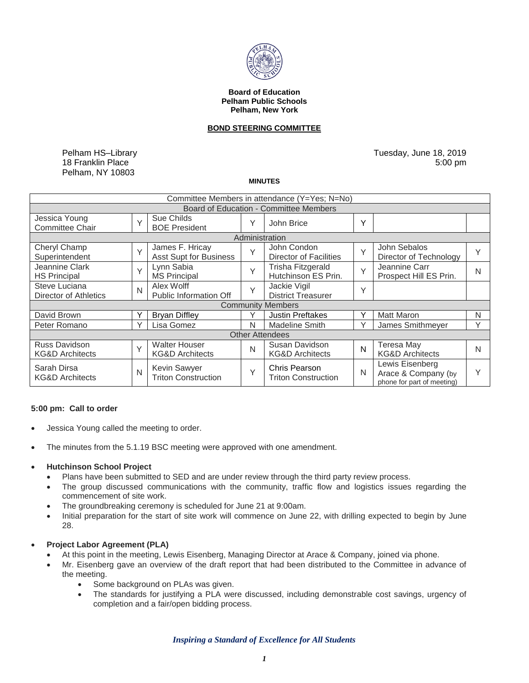

#### **Board of Education Pelham Public Schools Pelham, New York**

### **BOND STEERING COMMITTEE**

Pelham HS–Library 18 Franklin Place Pelham, NY 10803

Tuesday, June 18, 2019 5:00 pm

#### **MINUTES**

| Committee Members in attendance (Y=Yes; N=No) |              |                                                    |              |                                                    |        |                                                                      |              |
|-----------------------------------------------|--------------|----------------------------------------------------|--------------|----------------------------------------------------|--------|----------------------------------------------------------------------|--------------|
| Board of Education - Committee Members        |              |                                                    |              |                                                    |        |                                                                      |              |
| Jessica Young<br><b>Committee Chair</b>       | $\vee$       | Sue Childs<br><b>BOE President</b>                 | Υ            | John Brice                                         | Y      |                                                                      |              |
| Administration                                |              |                                                    |              |                                                    |        |                                                                      |              |
| Cheryl Champ<br>Superintendent                | $\vee$       | James F. Hricay<br><b>Asst Supt for Business</b>   | $\checkmark$ | John Condon<br><b>Director of Facilities</b>       | Y      | John Sebalos<br>Director of Technology                               | Y            |
| Jeannine Clark<br><b>HS Principal</b>         | $\checkmark$ | Lynn Sabia<br><b>MS Principal</b>                  | Y            | Trisha Fitzgerald<br>Hutchinson ES Prin.           | $\vee$ | Jeannine Carr<br>Prospect Hill ES Prin.                              | N            |
| Steve Luciana<br>Director of Athletics        | N            | Alex Wolff<br><b>Public Information Off</b>        | $\checkmark$ | Jackie Vigil<br><b>District Treasurer</b>          | Y      |                                                                      |              |
| <b>Community Members</b>                      |              |                                                    |              |                                                    |        |                                                                      |              |
| David Brown                                   |              | <b>Bryan Diffley</b>                               | Υ            | <b>Justin Preftakes</b>                            | Υ      | <b>Matt Maron</b>                                                    | N            |
| Peter Romano                                  | ٧            | Lisa Gomez                                         | N            | <b>Madeline Smith</b>                              | Υ      | James Smithmeyer                                                     | $\checkmark$ |
| <b>Other Attendees</b>                        |              |                                                    |              |                                                    |        |                                                                      |              |
| Russ Davidson<br><b>KG&amp;D Architects</b>   | $\checkmark$ | <b>Walter Houser</b><br><b>KG&amp;D Architects</b> | N            | Susan Davidson<br><b>KG&amp;D Architects</b>       | N      | <b>Teresa May</b><br><b>KG&amp;D Architects</b>                      | N            |
| Sarah Dirsa<br><b>KG&amp;D Architects</b>     | N            | Kevin Sawyer<br><b>Triton Construction</b>         | Υ            | <b>Chris Pearson</b><br><b>Triton Construction</b> | N      | Lewis Eisenberg<br>Arace & Company (by<br>phone for part of meeting) | Υ            |

#### **5:00 pm: Call to order**

- Jessica Young called the meeting to order.
- The minutes from the 5.1.19 BSC meeting were approved with one amendment.

#### **Hutchinson School Project**

- Plans have been submitted to SED and are under review through the third party review process.
- The group discussed communications with the community, traffic flow and logistics issues regarding the commencement of site work.
- The groundbreaking ceremony is scheduled for June 21 at 9:00am.
- Initial preparation for the start of site work will commence on June 22, with drilling expected to begin by June 28.

### **Project Labor Agreement (PLA)**

- At this point in the meeting, Lewis Eisenberg, Managing Director at Arace & Company, joined via phone.
- Mr. Eisenberg gave an overview of the draft report that had been distributed to the Committee in advance of the meeting.
	- Some background on PLAs was given.
	- The standards for justifying a PLA were discussed, including demonstrable cost savings, urgency of completion and a fair/open bidding process.

*Inspiring a Standard of Excellence for All Students*